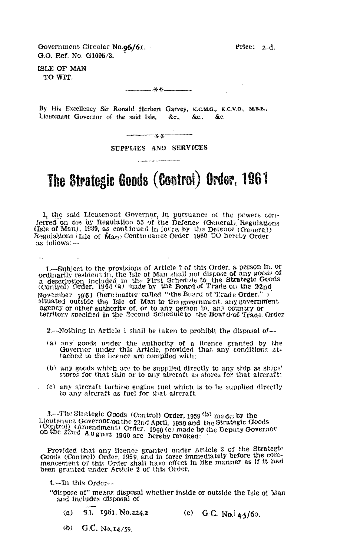Government Circular No.96/61.  $\blacksquare$  Price: 2.4. 0.0, Ref. No. G1605/3.

ISLE OF MAN TO WIT.

 $\ddot{\phantom{a}}$ 

 $x = 1$ 

By His Excellency Sir Ronald Herbert Garvey, K.C.M.G., K.C.V.O., M.B.E., Lieutenant Governor of the said Isle, &c., &c., &c.

SUPPLIES AND SERVICES

## **The Strategic Goods (Control) Order, 1961**

1, the said Lieutenant Governor, in pursuance of the powers conferred on me by Regulation 55 of the Defence (General) Regulations (Isle of Man), 1939, as continued in force, by the Defence (General) Regulations (Isle of Man) Continuance Order 1960 DO hereby Order as follows:-

1.—Subject to the provisions of Article 2 of this Order, a person in. or ordinarily resident in, the Isle of Man shall not dispose of any goods of a description Included in the F'irst Schedule to the Strategic Goods (Control) Order, 1961 (a) made by the Board of Trade on the 22nd. November  $1961$  (here inafter called "the Beard of Trade Order.") situated outside the Isle of Man to the government. any government agency or other authority of or to any person in. any country or territory specified in the Second Schedule to the Boar drof. Trade. Order

2.--Nothing in Article 1 shall be taken to prohibit the disposal of-

- (a) any' goods under the authority of a licence granted by the Governor under this Article, provided that any conditions attached to the licence are complied with;
- $(b)$  any goods which are to be supplied directly to any ship as ships' stores for that ship or to any aircraft as stores for that aircraft:
- (c) any aircraft turbine engine fuel which is to be supplied directly to any aircraft as fuel for that aircraft.

3.—The Strategic Goods (Control) Order, 1959 <sup>(b)</sup> made, by the Lieutenant Governor: on the 22nd April, 1959 and the Strategic Go Control) Order, 1959 W made by the<br>Coutenant Governor.on the 22nd April, 1959 and the Strategic Goods<br>Coutrol) (Amendment) Order, 1960 (c) made by the Deputy Governor<br>on the 22md August 1960 are hereby revoked: aade by the Deputy Governor

Provided that any licence granted under Article 2 of the Strategic Goods (Control) Order, 1959, and in force immediately before the com-<br>mencement of this Order shall have effect in like manner as If It had been granted under. Article 2 of this Order.

4. In this Order—

"dispose of" means disposal whether inside or outside the Isle of Man and includes disposal of

- (a) S.I. 1961. No.224.2 (c) G.C. No.  $4.5/60$ .
- (b) G.C.. No,  $14/59$ .